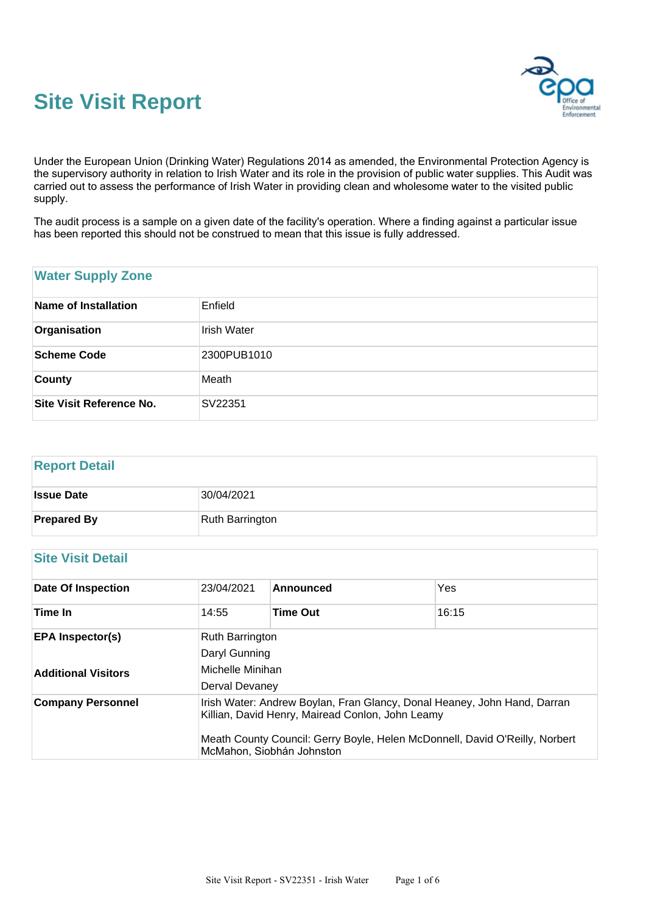



Under the European Union (Drinking Water) Regulations 2014 as amended, the Environmental Protection Agency is the supervisory authority in relation to Irish Water and its role in the provision of public water supplies. This Audit was carried out to assess the performance of Irish Water in providing clean and wholesome water to the visited public supply.

The audit process is a sample on a given date of the facility's operation. Where a finding against a particular issue has been reported this should not be construed to mean that this issue is fully addressed.

## **Water Supply Zone**

| Name of Installation     | Enfield     |
|--------------------------|-------------|
| Organisation             | Irish Water |
| Scheme Code              | 2300PUB1010 |
| <b>County</b>            | Meath       |
| Site Visit Reference No. | SV22351     |

# **Report Detail Issue Date** 30/04/2021 **Prepared By** Ruth Barrington

## **Site Visit Detail**

| <b>Date Of Inspection</b>                             | 23/04/2021                                                                                                                                                                                                                               | Announced       | Yes   |  |  |
|-------------------------------------------------------|------------------------------------------------------------------------------------------------------------------------------------------------------------------------------------------------------------------------------------------|-----------------|-------|--|--|
| Time In                                               | 14:55                                                                                                                                                                                                                                    | <b>Time Out</b> | 16:15 |  |  |
| <b>EPA Inspector(s)</b><br><b>Additional Visitors</b> | <b>Ruth Barrington</b><br>Daryl Gunning<br>Michelle Minihan<br>Derval Devaney                                                                                                                                                            |                 |       |  |  |
| <b>Company Personnel</b>                              | Irish Water: Andrew Boylan, Fran Glancy, Donal Heaney, John Hand, Darran<br>Killian, David Henry, Mairead Conlon, John Leamy<br>Meath County Council: Gerry Boyle, Helen McDonnell, David O'Reilly, Norbert<br>McMahon, Siobhán Johnston |                 |       |  |  |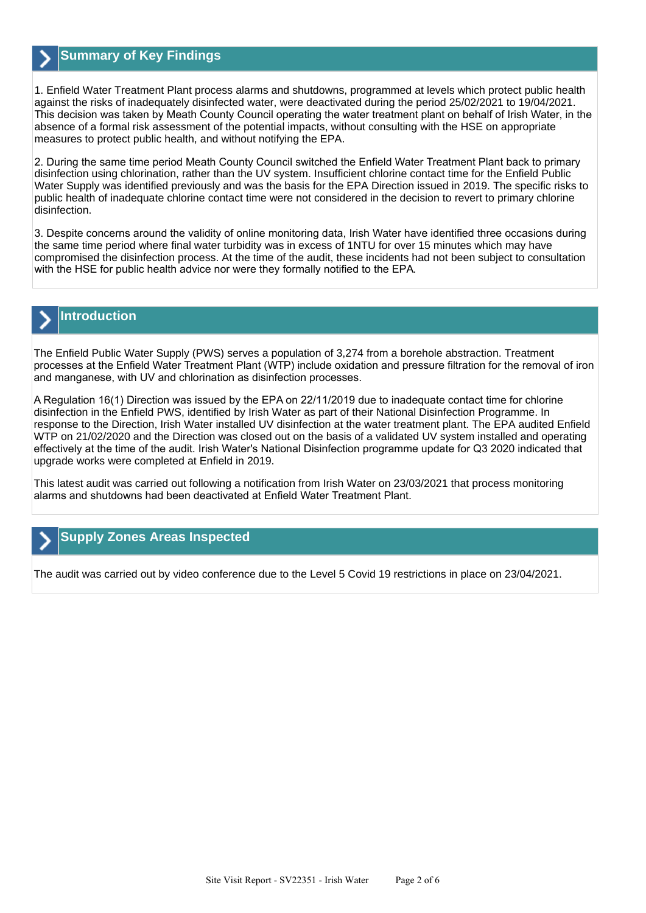

## **Summary of Key Findings**

1. Enfield Water Treatment Plant process alarms and shutdowns, programmed at levels which protect public health against the risks of inadequately disinfected water, were deactivated during the period 25/02/2021 to 19/04/2021. This decision was taken by Meath County Council operating the water treatment plant on behalf of Irish Water, in the absence of a formal risk assessment of the potential impacts, without consulting with the HSE on appropriate measures to protect public health, and without notifying the EPA.

2. During the same time period Meath County Council switched the Enfield Water Treatment Plant back to primary disinfection using chlorination, rather than the UV system. Insufficient chlorine contact time for the Enfield Public Water Supply was identified previously and was the basis for the EPA Direction issued in 2019. The specific risks to public health of inadequate chlorine contact time were not considered in the decision to revert to primary chlorine disinfection.

3. Despite concerns around the validity of online monitoring data, Irish Water have identified three occasions during the same time period where final water turbidity was in excess of 1NTU for over 15 minutes which may have compromised the disinfection process. At the time of the audit, these incidents had not been subject to consultation with the HSE for public health advice nor were they formally notified to the EPA.

## **Introduction**

The Enfield Public Water Supply (PWS) serves a population of 3,274 from a borehole abstraction. Treatment processes at the Enfield Water Treatment Plant (WTP) include oxidation and pressure filtration for the removal of iron and manganese, with UV and chlorination as disinfection processes.

A Regulation 16(1) Direction was issued by the EPA on 22/11/2019 due to inadequate contact time for chlorine disinfection in the Enfield PWS, identified by Irish Water as part of their National Disinfection Programme. In response to the Direction, Irish Water installed UV disinfection at the water treatment plant. The EPA audited Enfield WTP on 21/02/2020 and the Direction was closed out on the basis of a validated UV system installed and operating effectively at the time of the audit. Irish Water's National Disinfection programme update for Q3 2020 indicated that upgrade works were completed at Enfield in 2019.

This latest audit was carried out following a notification from Irish Water on 23/03/2021 that process monitoring alarms and shutdowns had been deactivated at Enfield Water Treatment Plant.

## **Supply Zones Areas Inspected**

The audit was carried out by video conference due to the Level 5 Covid 19 restrictions in place on 23/04/2021.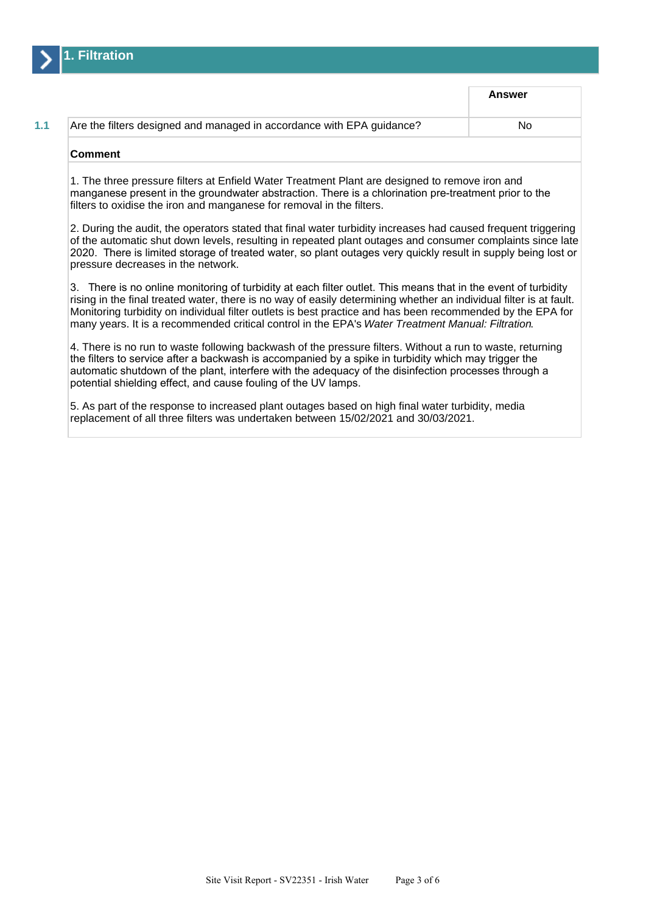

|                                                                       | Answer |
|-----------------------------------------------------------------------|--------|
| Are the filters designed and managed in accordance with EPA guidance? | No     |
| Comment                                                               |        |

1. The three pressure filters at Enfield Water Treatment Plant are designed to remove iron and manganese present in the groundwater abstraction. There is a chlorination pre-treatment prior to the filters to oxidise the iron and manganese for removal in the filters.

2. During the audit, the operators stated that final water turbidity increases had caused frequent triggering of the automatic shut down levels, resulting in repeated plant outages and consumer complaints since late 2020. There is limited storage of treated water, so plant outages very quickly result in supply being lost or pressure decreases in the network.

3. There is no online monitoring of turbidity at each filter outlet. This means that in the event of turbidity rising in the final treated water, there is no way of easily determining whether an individual filter is at fault. Monitoring turbidity on individual filter outlets is best practice and has been recommended by the EPA for many years. It is a recommended critical control in the EPA's Water Treatment Manual: Filtration.

4. There is no run to waste following backwash of the pressure filters. Without a run to waste, returning the filters to service after a backwash is accompanied by a spike in turbidity which may trigger the automatic shutdown of the plant, interfere with the adequacy of the disinfection processes through a potential shielding effect, and cause fouling of the UV lamps.

5. As part of the response to increased plant outages based on high final water turbidity, media replacement of all three filters was undertaken between 15/02/2021 and 30/03/2021.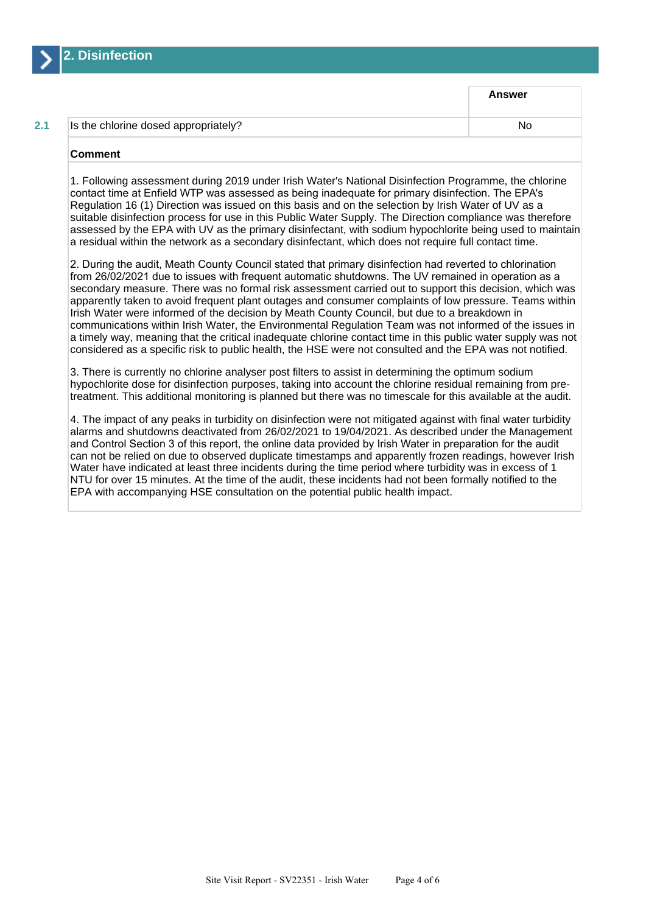

**Answer**

### **2.1** Is the chlorine dosed appropriately? No notatively approach a set of the chlorine of the No

## **Comment**

1. Following assessment during 2019 under Irish Water's National Disinfection Programme, the chlorine contact time at Enfield WTP was assessed as being inadequate for primary disinfection. The EPA's Regulation 16 (1) Direction was issued on this basis and on the selection by Irish Water of UV as a suitable disinfection process for use in this Public Water Supply. The Direction compliance was therefore assessed by the EPA with UV as the primary disinfectant, with sodium hypochlorite being used to maintain a residual within the network as a secondary disinfectant, which does not require full contact time.

2. During the audit, Meath County Council stated that primary disinfection had reverted to chlorination from 26/02/2021 due to issues with frequent automatic shutdowns. The UV remained in operation as a secondary measure. There was no formal risk assessment carried out to support this decision, which was apparently taken to avoid frequent plant outages and consumer complaints of low pressure. Teams within Irish Water were informed of the decision by Meath County Council, but due to a breakdown in communications within Irish Water, the Environmental Regulation Team was not informed of the issues in a timely way, meaning that the critical inadequate chlorine contact time in this public water supply was not considered as a specific risk to public health, the HSE were not consulted and the EPA was not notified.

3. There is currently no chlorine analyser post filters to assist in determining the optimum sodium hypochlorite dose for disinfection purposes, taking into account the chlorine residual remaining from pretreatment. This additional monitoring is planned but there was no timescale for this available at the audit.

4. The impact of any peaks in turbidity on disinfection were not mitigated against with final water turbidity alarms and shutdowns deactivated from 26/02/2021 to 19/04/2021. As described under the Management and Control Section 3 of this report, the online data provided by Irish Water in preparation for the audit can not be relied on due to observed duplicate timestamps and apparently frozen readings, however Irish Water have indicated at least three incidents during the time period where turbidity was in excess of 1 NTU for over 15 minutes. At the time of the audit, these incidents had not been formally notified to the EPA with accompanying HSE consultation on the potential public health impact.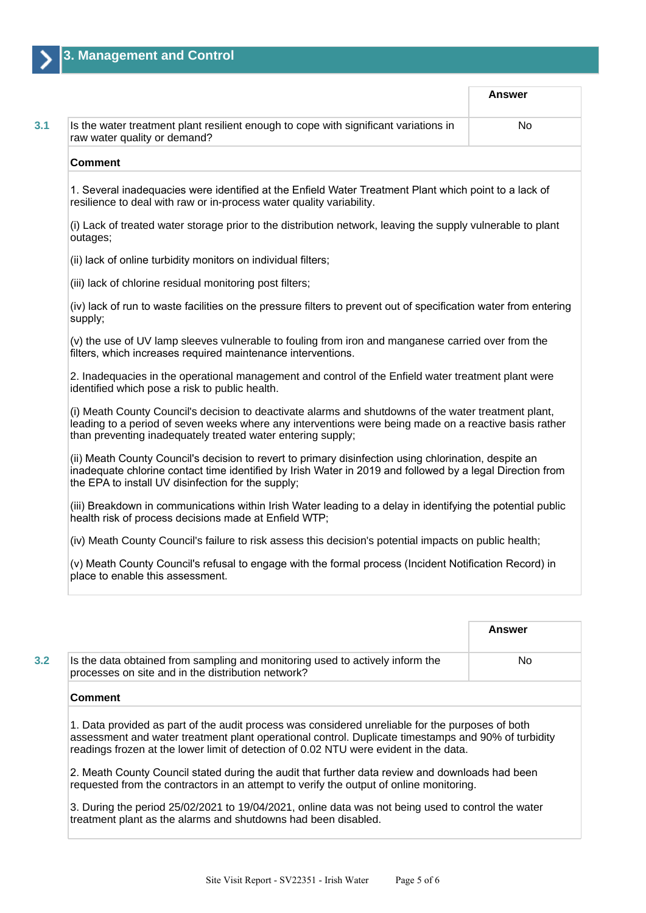**Answer 3.1** Is the water treatment plant resilient enough to cope with significant variations in raw water quality or demand? No **Comment** 1. Several inadequacies were identified at the Enfield Water Treatment Plant which point to a lack of resilience to deal with raw or in-process water quality variability. (i) Lack of treated water storage prior to the distribution network, leaving the supply vulnerable to plant outages; (ii) lack of online turbidity monitors on individual filters; (iii) lack of chlorine residual monitoring post filters; (iv) lack of run to waste facilities on the pressure filters to prevent out of specification water from entering supply; (v) the use of UV lamp sleeves vulnerable to fouling from iron and manganese carried over from the filters, which increases required maintenance interventions. 2. Inadequacies in the operational management and control of the Enfield water treatment plant were identified which pose a risk to public health. (i) Meath County Council's decision to deactivate alarms and shutdowns of the water treatment plant, leading to a period of seven weeks where any interventions were being made on a reactive basis rather than preventing inadequately treated water entering supply; (ii) Meath County Council's decision to revert to primary disinfection using chlorination, despite an inadequate chlorine contact time identified by Irish Water in 2019 and followed by a legal Direction from the EPA to install UV disinfection for the supply; (iii) Breakdown in communications within Irish Water leading to a delay in identifying the potential public health risk of process decisions made at Enfield WTP; (iv) Meath County Council's failure to risk assess this decision's potential impacts on public health; (v) Meath County Council's refusal to engage with the formal process (Incident Notification Record) in place to enable this assessment.

|                                                                                                                                     | <b>Answer</b> |
|-------------------------------------------------------------------------------------------------------------------------------------|---------------|
| Is the data obtained from sampling and monitoring used to actively inform the<br>processes on site and in the distribution network? | No.           |
| <b>Comment</b>                                                                                                                      |               |

assessment and water treatment plant operational control. Duplicate timestamps and 90% of turbidity readings frozen at the lower limit of detection of 0.02 NTU were evident in the data.

2. Meath County Council stated during the audit that further data review and downloads had been requested from the contractors in an attempt to verify the output of online monitoring.

3. During the period 25/02/2021 to 19/04/2021, online data was not being used to control the water treatment plant as the alarms and shutdowns had been disabled.